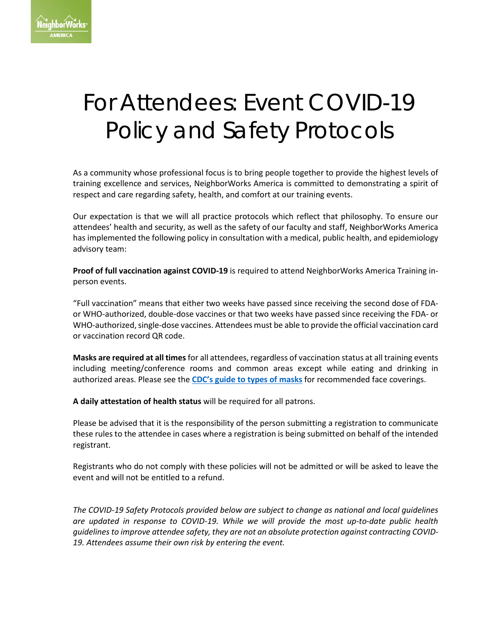

# For Attendees: Event COVID-19 Policy and Safety Protocols

As a community whose professional focus is to bring people together to provide the highest levels of training excellence and services, NeighborWorks America is committed to demonstrating a spirit of respect and care regarding safety, health, and comfort at our training events.

Our expectation is that we will all practice protocols which reflect that philosophy. To ensure our attendees' health and security, as well as the safety of our faculty and staff, NeighborWorks America has implemented the following policy in consultation with a medical, public health, and epidemiology advisory team:

**Proof of full vaccination against COVID-19** is required to attend NeighborWorks America Training inperson events.

"Full vaccination" means that either two weeks have passed since receiving the second dose of FDAor WHO-authorized, double-dose vaccines or that two weeks have passed since receiving the FDA- or WHO-authorized, single-dose vaccines. Attendees must be able to provide the official vaccination card or vaccination record QR code.

**Masks are required at all times**for all attendees, regardless of vaccination status at all training events including meeting/conference rooms and common areas except while eating and drinking in authorized areas. Please see the **[CDC's guide to types of masks](https://www.cdc.gov/coronavirus/2019-ncov/prevent-getting-sick/about-face-coverings.html)** for recommended face coverings.

**A daily attestation of health status** will be required for all patrons.

Please be advised that it is the responsibility of the person submitting a registration to communicate these rules to the attendee in cases where a registration is being submitted on behalf of the intended registrant.

Registrants who do not comply with these policies will not be admitted or will be asked to leave the event and will not be entitled to a refund.

*The COVID-19 Safety Protocols provided below are subject to change as national and local guidelines are updated in response to COVID-19. While we will provide the most up-to-date public health guidelines to improve attendee safety, they are not an absolute protection against contracting COVID-19. Attendees assume their own risk by entering the event.*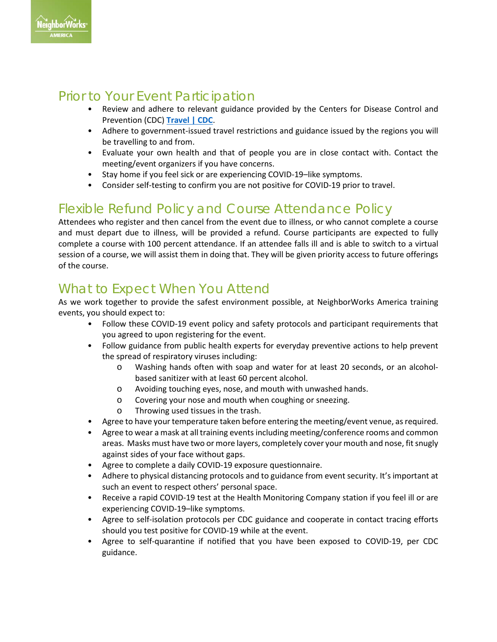

# Prior to Your Event Participation

- Review and adhere to relevant guidance provided by the Centers for Disease Control and Prevention (CDC) **[Travel | CDC](https://www.cdc.gov/coronavirus/2019-ncov/travelers/index.html)**.
- Adhere to government-issued travel restrictions and guidance issued by the regions you will be travelling to and from.
- Evaluate your own health and that of people you are in close contact with. Contact the meeting/event organizers if you have concerns.
- Stay home if you feel sick or are experiencing COVID-19–like symptoms.
- Consider self-testing to confirm you are not positive for COVID-19 prior to travel.

# Flexible Refund Policy and Course Attendance Policy

Attendees who register and then cancel from the event due to illness, or who cannot complete a course and must depart due to illness, will be provided a refund. Course participants are expected to fully complete a course with 100 percent attendance. If an attendee falls ill and is able to switch to a virtual session of a course, we will assist them in doing that. They will be given priority access to future offerings of the course.

# What to Expect When You Attend

As we work together to provide the safest environment possible, at NeighborWorks America training events, you should expect to:

- Follow these COVID-19 event policy and safety protocols and participant requirements that you agreed to upon registering for the event.
- Follow guidance from public health experts for everyday preventive actions to help prevent the spread of respiratory viruses including:
	- o Washing hands often with soap and water for at least 20 seconds, or an alcoholbased sanitizer with at least 60 percent alcohol.
	- o Avoiding touching eyes, nose, and mouth with unwashed hands.
	- o Covering your nose and mouth when coughing or sneezing.
	- Throwing used tissues in the trash.
- Agree to have your temperature taken before entering the meeting/event venue, as required.
- Agree to wear a mask at all training events including meeting/conference rooms and common areas. Masks must have two or more layers, completely cover your mouth and nose, fit snugly against sides of your face without gaps.
- Agree to complete a daily COVID-19 exposure questionnaire.
- Adhere to physical distancing protocols and to guidance from event security. It's important at such an event to respect others' personal space.
- Receive a rapid COVID-19 test at the Health Monitoring Company station if you feel ill or are experiencing COVID-19–like symptoms.
- Agree to self-isolation protocols per CDC guidance and cooperate in contact tracing efforts should you test positive for COVID-19 while at the event.
- Agree to self-quarantine if notified that you have been exposed to COVID-19, per CDC guidance.